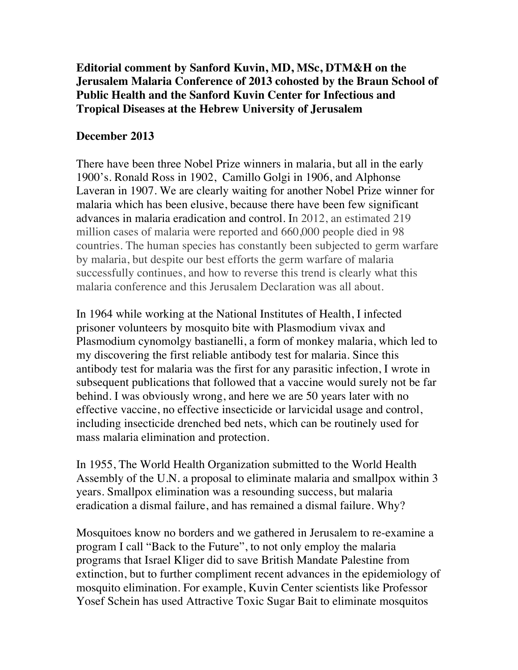## **Editorial comment by Sanford Kuvin, MD, MSc, DTM&H on the Jerusalem Malaria Conference of 2013 cohosted by the Braun School of Public Health and the Sanford Kuvin Center for Infectious and Tropical Diseases at the Hebrew University of Jerusalem**

## **December 2013**

There have been three Nobel Prize winners in malaria, but all in the early 1900's. Ronald Ross in 1902, Camillo Golgi in 1906, and Alphonse Laveran in 1907. We are clearly waiting for another Nobel Prize winner for malaria which has been elusive, because there have been few significant advances in malaria eradication and control. In 2012, an estimated 219 million cases of malaria were reported and 660,000 people died in 98 countries. The human species has constantly been subjected to germ warfare by malaria, but despite our best efforts the germ warfare of malaria successfully continues, and how to reverse this trend is clearly what this malaria conference and this Jerusalem Declaration was all about.

In 1964 while working at the National Institutes of Health, I infected prisoner volunteers by mosquito bite with Plasmodium vivax and Plasmodium cynomolgy bastianelli, a form of monkey malaria, which led to my discovering the first reliable antibody test for malaria. Since this antibody test for malaria was the first for any parasitic infection, I wrote in subsequent publications that followed that a vaccine would surely not be far behind. I was obviously wrong, and here we are 50 years later with no effective vaccine, no effective insecticide or larvicidal usage and control, including insecticide drenched bed nets, which can be routinely used for mass malaria elimination and protection.

In 1955, The World Health Organization submitted to the World Health Assembly of the U.N. a proposal to eliminate malaria and smallpox within 3 years. Smallpox elimination was a resounding success, but malaria eradication a dismal failure, and has remained a dismal failure. Why?

Mosquitoes know no borders and we gathered in Jerusalem to re-examine a program I call "Back to the Future", to not only employ the malaria programs that Israel Kliger did to save British Mandate Palestine from extinction, but to further compliment recent advances in the epidemiology of mosquito elimination. For example, Kuvin Center scientists like Professor Yosef Schein has used Attractive Toxic Sugar Bait to eliminate mosquitos